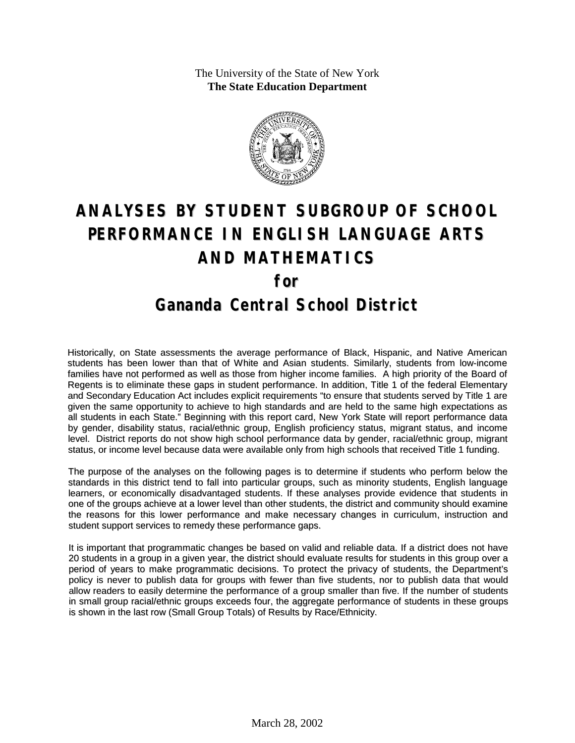The University of the State of New York **The State Education Department**



# **ANALYSES BY STUDENT SUBGROUP OF SCHOOL PERFORMANCE IN ENGLISH LANGUAGE ARTS AND MATHEMATICS for Gananda Central School District**

Historically, on State assessments the average performance of Black, Hispanic, and Native American students has been lower than that of White and Asian students. Similarly, students from low-income families have not performed as well as those from higher income families. A high priority of the Board of Regents is to eliminate these gaps in student performance. In addition, Title 1 of the federal Elementary and Secondary Education Act includes explicit requirements "to ensure that students served by Title 1 are given the same opportunity to achieve to high standards and are held to the same high expectations as all students in each State." Beginning with this report card, New York State will report performance data by gender, disability status, racial/ethnic group, English proficiency status, migrant status, and income level. District reports do not show high school performance data by gender, racial/ethnic group, migrant status, or income level because data were available only from high schools that received Title 1 funding.

The purpose of the analyses on the following pages is to determine if students who perform below the standards in this district tend to fall into particular groups, such as minority students, English language learners, or economically disadvantaged students. If these analyses provide evidence that students in one of the groups achieve at a lower level than other students, the district and community should examine the reasons for this lower performance and make necessary changes in curriculum, instruction and student support services to remedy these performance gaps.

It is important that programmatic changes be based on valid and reliable data. If a district does not have 20 students in a group in a given year, the district should evaluate results for students in this group over a period of years to make programmatic decisions. To protect the privacy of students, the Department's policy is never to publish data for groups with fewer than five students, nor to publish data that would allow readers to easily determine the performance of a group smaller than five. If the number of students in small group racial/ethnic groups exceeds four, the aggregate performance of students in these groups is shown in the last row (Small Group Totals) of Results by Race/Ethnicity.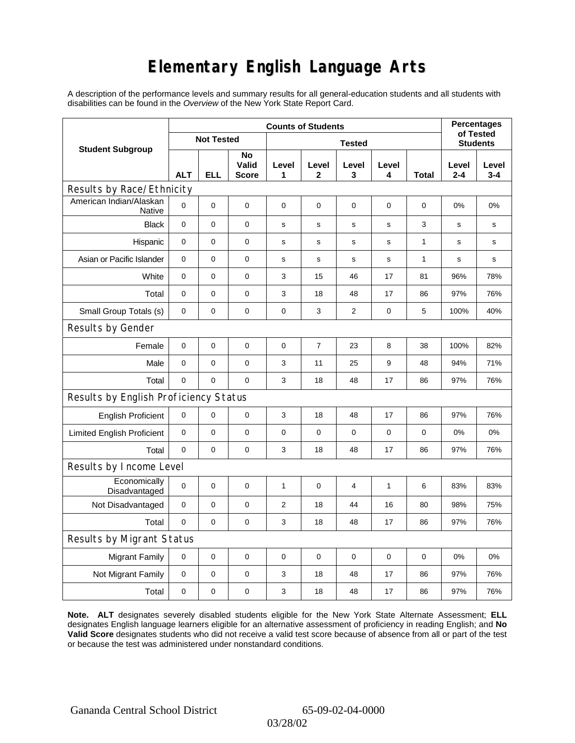# **Elementary English Language Arts**

A description of the performance levels and summary results for all general-education students and all students with disabilities can be found in the *Overview* of the New York State Report Card.

|                                          |             | <b>Percentages</b><br>of Tested |                             |                |                       |                |              |                 |                  |                  |
|------------------------------------------|-------------|---------------------------------|-----------------------------|----------------|-----------------------|----------------|--------------|-----------------|------------------|------------------|
| <b>Student Subgroup</b>                  |             | <b>Not Tested</b>               |                             |                |                       |                |              | <b>Students</b> |                  |                  |
|                                          | <b>ALT</b>  | <b>ELL</b>                      | No<br>Valid<br><b>Score</b> | Level<br>1     | Level<br>$\mathbf{2}$ | Level<br>3     | Level<br>4   | <b>Total</b>    | Level<br>$2 - 4$ | Level<br>$3 - 4$ |
| Results by Race/Ethnicity                |             |                                 |                             |                |                       |                |              |                 |                  |                  |
| American Indian/Alaskan<br><b>Native</b> | $\mathbf 0$ | 0                               | $\pmb{0}$                   | 0              | 0                     | 0              | 0            | 0               | 0%               | 0%               |
| <b>Black</b>                             | $\mathbf 0$ | 0                               | $\pmb{0}$                   | s              | $\mathbf s$           | ${\bf s}$      | $\mathbf s$  | 3               | s                | s                |
| Hispanic                                 | 0           | 0                               | $\pmb{0}$                   | s              | $\mathbf s$           | ${\bf s}$      | s            | 1               | s                | s                |
| Asian or Pacific Islander                | $\mathbf 0$ | 0                               | $\mathbf 0$                 | s              | s                     | s              | s            | 1               | s                | s                |
| White                                    | $\mathbf 0$ | 0                               | $\mathbf 0$                 | 3              | 15                    | 46             | 17           | 81              | 96%              | 78%              |
| Total                                    | $\mathbf 0$ | 0                               | $\pmb{0}$                   | 3              | 18                    | 48             | 17           | 86              | 97%              | 76%              |
| Small Group Totals (s)                   | 0           | 0                               | 0                           | $\pmb{0}$      | 3                     | $\overline{c}$ | 0            | 5               | 100%             | 40%              |
| Results by Gender                        |             |                                 |                             |                |                       |                |              |                 |                  |                  |
| Female                                   | $\mathbf 0$ | 0                               | $\mathbf 0$                 | $\pmb{0}$      | $\boldsymbol{7}$      | 23             | 8            | 38              | 100%             | 82%              |
| Male                                     | $\mathbf 0$ | 0                               | $\pmb{0}$                   | 3              | 11                    | 25             | 9            | 48              | 94%              | 71%              |
| Total                                    | 0           | 0                               | $\mathbf 0$                 | 3              | 18                    | 48             | 17           | 86              | 97%              | 76%              |
| Results by English Proficiency Status    |             |                                 |                             |                |                       |                |              |                 |                  |                  |
| <b>English Proficient</b>                | 0           | $\mathsf 0$                     | 0                           | 3              | 18                    | 48             | 17           | 86              | 97%              | 76%              |
| <b>Limited English Proficient</b>        | $\mathbf 0$ | 0                               | $\pmb{0}$                   | 0              | 0                     | $\mathbf 0$    | 0            | 0               | 0%               | 0%               |
| Total                                    | $\mathbf 0$ | 0                               | $\pmb{0}$                   | 3              | 18                    | 48             | 17           | 86              | 97%              | 76%              |
| Results by Income Level                  |             |                                 |                             |                |                       |                |              |                 |                  |                  |
| Economically<br>Disadvantaged            | $\pmb{0}$   | 0                               | $\mathbf 0$                 | $\mathbf{1}$   | $\mathbf 0$           | 4              | $\mathbf{1}$ | 6               | 83%              | 83%              |
| Not Disadvantaged                        | $\mathbf 0$ | 0                               | 0                           | $\overline{2}$ | 18                    | 44             | 16           | 80              | 98%              | 75%              |
| Total                                    | $\mathbf 0$ | 0                               | 0                           | 3              | 18                    | 48             | 17           | 86              | 97%              | 76%              |
| <b>Results by Migrant Status</b>         |             |                                 |                             |                |                       |                |              |                 |                  |                  |
| <b>Migrant Family</b>                    | 0           | 0                               | 0                           | 0              | 0                     | 0              | 0            | 0               | 0%               | 0%               |
| Not Migrant Family                       | $\mathbf 0$ | 0                               | $\pmb{0}$                   | 3              | 18                    | 48             | 17           | 86              | 97%              | 76%              |
| Total                                    | $\mathbf 0$ | 0                               | $\pmb{0}$                   | 3              | 18                    | 48             | 17           | 86              | 97%              | 76%              |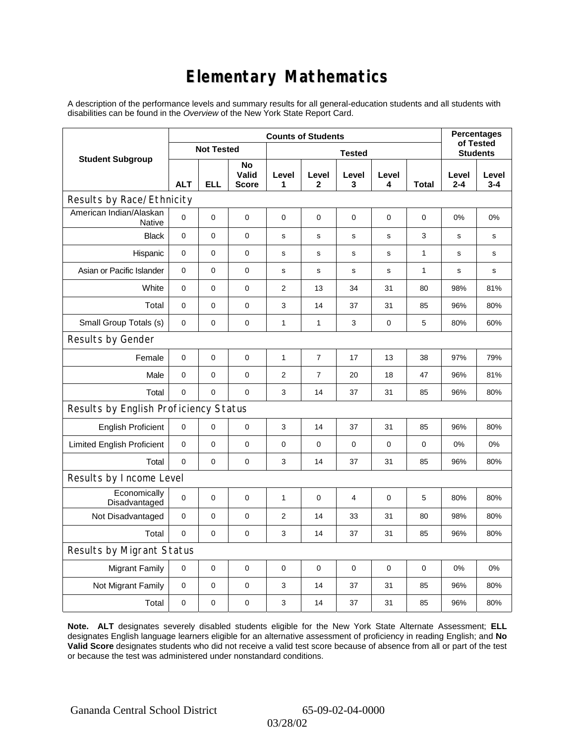# **Elementary Mathematics**

A description of the performance levels and summary results for all general-education students and all students with disabilities can be found in the *Overview* of the New York State Report Card.

|                                          | <b>Counts of Students</b> |                   |                             |                |                       |                |                 |              | <b>Percentages</b><br>of Tested |                  |
|------------------------------------------|---------------------------|-------------------|-----------------------------|----------------|-----------------------|----------------|-----------------|--------------|---------------------------------|------------------|
| <b>Student Subgroup</b>                  |                           | <b>Not Tested</b> |                             |                |                       |                | <b>Students</b> |              |                                 |                  |
|                                          | <b>ALT</b>                | <b>ELL</b>        | No<br>Valid<br><b>Score</b> | Level<br>1     | Level<br>$\mathbf{2}$ | Level<br>3     | Level<br>4      | Total        | Level<br>$2 - 4$                | Level<br>$3 - 4$ |
| Results by Race/Ethnicity                |                           |                   |                             |                |                       |                |                 |              |                                 |                  |
| American Indian/Alaskan<br><b>Native</b> | 0                         | $\mathbf 0$       | $\pmb{0}$                   | 0              | $\mathbf 0$           | 0              | 0               | 0            | 0%                              | 0%               |
| <b>Black</b>                             | $\mathbf 0$               | $\overline{0}$    | $\mathbf 0$                 | $\mathbf s$    | $\mathbf s$           | $\mathbf s$    | $\mathbf s$     | 3            | s                               | s                |
| Hispanic                                 | 0                         | 0                 | $\pmb{0}$                   | s              | s                     | s              | s               | $\mathbf{1}$ | s                               | s                |
| Asian or Pacific Islander                | 0                         | 0                 | 0                           | s              | $\mathbf s$           | $\mathbf s$    | $\mathbf s$     | 1            | s                               | s                |
| White                                    | 0                         | 0                 | $\pmb{0}$                   | $\overline{2}$ | 13                    | 34             | 31              | 80           | 98%                             | 81%              |
| Total                                    | 0                         | 0                 | 0                           | 3              | 14                    | 37             | 31              | 85           | 96%                             | 80%              |
| Small Group Totals (s)                   | 0                         | 0                 | 0                           | 1              | $\mathbf{1}$          | 3              | 0               | 5            | 80%                             | 60%              |
| Results by Gender                        |                           |                   |                             |                |                       |                |                 |              |                                 |                  |
| Female                                   | $\mathbf 0$               | 0                 | $\pmb{0}$                   | $\mathbf{1}$   | $\overline{7}$        | 17             | 13              | 38           | 97%                             | 79%              |
| Male                                     | $\mathbf 0$               | 0                 | $\pmb{0}$                   | $\overline{2}$ | $\overline{7}$        | 20             | 18              | 47           | 96%                             | 81%              |
| Total                                    | 0                         | 0                 | $\pmb{0}$                   | 3              | 14                    | 37             | 31              | 85           | 96%                             | 80%              |
| Results by English Proficiency Status    |                           |                   |                             |                |                       |                |                 |              |                                 |                  |
| <b>English Proficient</b>                | $\mathbf 0$               | 0                 | $\pmb{0}$                   | 3              | 14                    | 37             | 31              | 85           | 96%                             | 80%              |
| <b>Limited English Proficient</b>        | 0                         | 0                 | $\pmb{0}$                   | $\pmb{0}$      | $\mathbf 0$           | 0              | $\mathbf 0$     | $\mathbf 0$  | 0%                              | 0%               |
| Total                                    | $\mathbf 0$               | $\mathbf 0$       | $\pmb{0}$                   | 3              | 14                    | 37             | 31              | 85           | 96%                             | 80%              |
| Results by Income Level                  |                           |                   |                             |                |                       |                |                 |              |                                 |                  |
| Economically<br>Disadvantaged            | $\mathbf 0$               | 0                 | $\mathbf 0$                 | $\mathbf{1}$   | $\mathbf 0$           | $\overline{4}$ | $\mathbf 0$     | 5            | 80%                             | 80%              |
| Not Disadvantaged                        | $\mathbf 0$               | 0                 | $\pmb{0}$                   | $\overline{2}$ | 14                    | 33             | 31              | 80           | 98%                             | 80%              |
| Total                                    | 0                         | $\mathbf 0$       | 0                           | 3              | 14                    | 37             | 31              | 85           | 96%                             | 80%              |
| Results by Migrant Status                |                           |                   |                             |                |                       |                |                 |              |                                 |                  |
| <b>Migrant Family</b>                    | $\mathbf 0$               | 0                 | $\mathbf 0$                 | $\pmb{0}$      | $\mathbf 0$           | 0              | $\pmb{0}$       | 0            | 0%                              | 0%               |
| Not Migrant Family                       | 0                         | 0                 | 0                           | 3              | 14                    | 37             | 31              | 85           | 96%                             | 80%              |
| Total                                    | 0                         | $\mathsf 0$       | 0                           | 3              | 14                    | 37             | 31              | 85           | 96%                             | 80%              |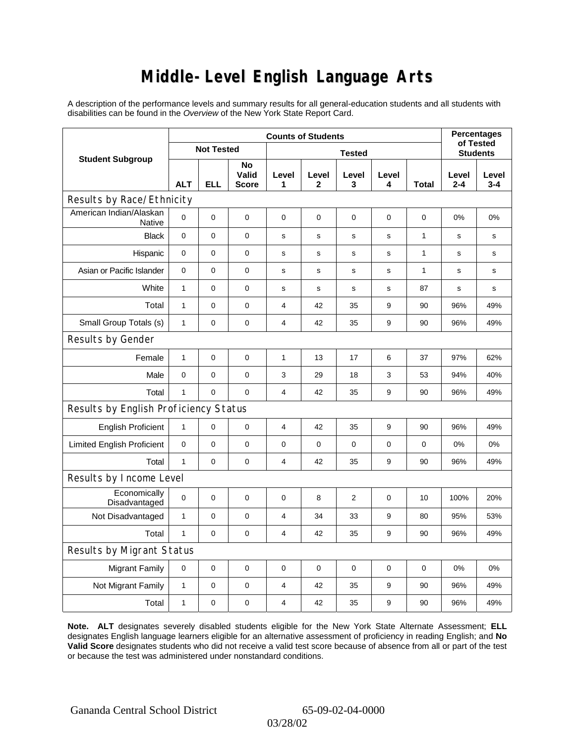### **Middle-Level English Language Arts**

A description of the performance levels and summary results for all general-education students and all students with disabilities can be found in the *Overview* of the New York State Report Card.

|                                          | <b>Counts of Students</b> |                   | <b>Percentages</b><br>of Tested |                         |             |             |             |                 |                  |                  |
|------------------------------------------|---------------------------|-------------------|---------------------------------|-------------------------|-------------|-------------|-------------|-----------------|------------------|------------------|
| <b>Student Subgroup</b>                  |                           | <b>Not Tested</b> |                                 |                         |             |             |             | <b>Students</b> |                  |                  |
|                                          | <b>ALT</b>                | <b>ELL</b>        | No<br>Valid<br><b>Score</b>     | Level<br>1              | Level<br>2  | Level<br>3  | Level<br>4  | Total           | Level<br>$2 - 4$ | Level<br>$3 - 4$ |
| Results by Race/Ethnicity                |                           |                   |                                 |                         |             |             |             |                 |                  |                  |
| American Indian/Alaskan<br><b>Native</b> | 0                         | $\mathbf 0$       | $\mathbf 0$                     | 0                       | 0           | 0           | 0           | 0               | 0%               | 0%               |
| <b>Black</b>                             | 0                         | 0                 | $\pmb{0}$                       | $\mathbf s$             | $\mathbf s$ | s           | s           | $\mathbf{1}$    | s                | s                |
| Hispanic                                 | 0                         | 0                 | $\mathbf 0$                     | $\mathbf s$             | $\mathbf s$ | $\mathbf s$ | $\mathbf s$ | $\mathbf{1}$    | s                | $\mathbf s$      |
| Asian or Pacific Islander                | $\mathbf 0$               | 0                 | $\mathbf 0$                     | s                       | ${\tt S}$   | s           | s           | $\mathbf{1}$    | s                | s                |
| White                                    | $\mathbf{1}$              | 0                 | 0                               | $\mathbf s$             | ${\tt S}$   | s           | s           | 87              | s                | s                |
| Total                                    | $\mathbf{1}$              | 0                 | $\pmb{0}$                       | 4                       | 42          | 35          | 9           | 90              | 96%              | 49%              |
| Small Group Totals (s)                   | $\mathbf{1}$              | 0                 | $\mathbf 0$                     | 4                       | 42          | 35          | 9           | 90              | 96%              | 49%              |
| Results by Gender                        |                           |                   |                                 |                         |             |             |             |                 |                  |                  |
| Female                                   | $\mathbf{1}$              | $\mathsf 0$       | $\pmb{0}$                       | 1                       | 13          | 17          | 6           | 37              | 97%              | 62%              |
| Male                                     | $\mathbf 0$               | 0                 | 0                               | 3                       | 29          | 18          | 3           | 53              | 94%              | 40%              |
| Total                                    | $\mathbf{1}$              | 0                 | $\mathbf 0$                     | $\overline{\mathbf{4}}$ | 42          | 35          | 9           | 90              | 96%              | 49%              |
| Results by English Proficiency Status    |                           |                   |                                 |                         |             |             |             |                 |                  |                  |
| <b>English Proficient</b>                | $\mathbf{1}$              | 0                 | $\mathbf 0$                     | 4                       | 42          | 35          | 9           | 90              | 96%              | 49%              |
| <b>Limited English Proficient</b>        | 0                         | 0                 | $\mathbf 0$                     | $\pmb{0}$               | $\mathbf 0$ | 0           | 0           | 0               | 0%               | 0%               |
| Total                                    | $\mathbf{1}$              | 0                 | $\mathbf 0$                     | $\overline{4}$          | 42          | 35          | 9           | 90              | 96%              | 49%              |
| Results by Income Level                  |                           |                   |                                 |                         |             |             |             |                 |                  |                  |
| Economically<br>Disadvantaged            | 0                         | $\mathsf 0$       | $\mathbf 0$                     | $\mathbf 0$             | 8           | 2           | 0           | 10              | 100%             | 20%              |
| Not Disadvantaged                        | 1                         | 0                 | $\mathbf 0$                     | $\overline{4}$          | 34          | 33          | 9           | 80              | 95%              | 53%              |
| Total                                    | $\mathbf{1}$              | $\mathbf 0$       | 0                               | $\overline{4}$          | 42          | 35          | 9           | 90              | 96%              | 49%              |
| Results by Migrant Status                |                           |                   |                                 |                         |             |             |             |                 |                  |                  |
| <b>Migrant Family</b>                    | $\mathbf 0$               | 0                 | $\pmb{0}$                       | $\pmb{0}$               | $\mathbf 0$ | 0           | 0           | $\mathbf 0$     | 0%               | 0%               |
| Not Migrant Family                       | 1                         | 0                 | 0                               | $\overline{4}$          | 42          | 35          | 9           | 90              | 96%              | 49%              |
| Total                                    | $\mathbf{1}$              | 0                 | 0                               | $\overline{4}$          | 42          | 35          | 9           | 90              | 96%              | 49%              |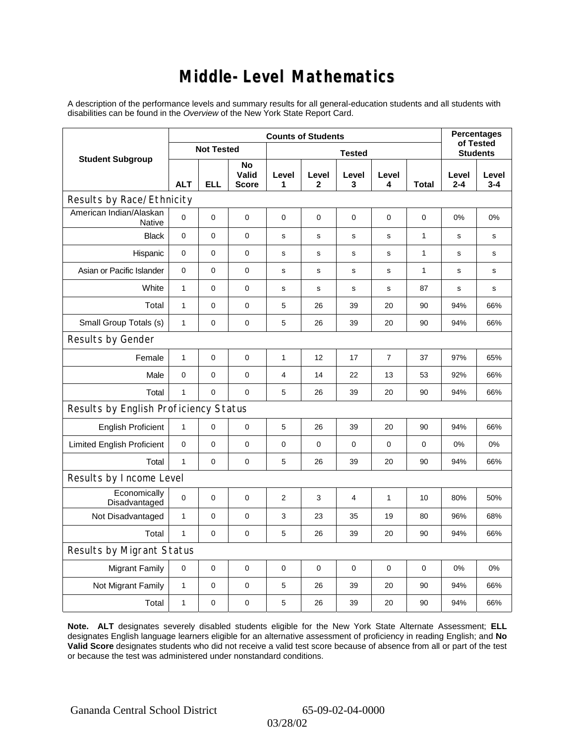### **Middle-Level Mathematics**

A description of the performance levels and summary results for all general-education students and all students with disabilities can be found in the *Overview* of the New York State Report Card.

|                                       | <b>Counts of Students</b> |                |                             |                |                       |            |                  |              | <b>Percentages</b><br>of Tested |                  |
|---------------------------------------|---------------------------|----------------|-----------------------------|----------------|-----------------------|------------|------------------|--------------|---------------------------------|------------------|
| <b>Student Subgroup</b>               | <b>Not Tested</b>         |                |                             |                | <b>Students</b>       |            |                  |              |                                 |                  |
|                                       | <b>ALT</b>                | <b>ELL</b>     | No<br>Valid<br><b>Score</b> | Level<br>1     | Level<br>$\mathbf{2}$ | Level<br>3 | Level<br>4       | <b>Total</b> | Level<br>$2 - 4$                | Level<br>$3 - 4$ |
| Results by Race/Ethnicity             |                           |                |                             |                |                       |            |                  |              |                                 |                  |
| American Indian/Alaskan<br>Native     | 0                         | $\overline{0}$ | $\mathbf 0$                 | $\mathbf 0$    | 0                     | 0          | 0                | 0            | $0\%$                           | 0%               |
| <b>Black</b>                          | 0                         | 0              | 0                           | $\mathbf s$    | $\mathbf s$           | s          | $\mathbf s$      | 1            | s                               | s                |
| Hispanic                              | 0                         | $\mathsf 0$    | $\pmb{0}$                   | s              | s                     | s          | s                | 1            | s                               | s                |
| Asian or Pacific Islander             | $\mathbf 0$               | 0              | $\mathbf 0$                 | $\mathbf s$    | S                     | s          | s                | 1            | s                               | s                |
| White                                 | $\mathbf{1}$              | $\overline{0}$ | $\pmb{0}$                   | $\mathbf s$    | $\mathbf s$           | s          | $\mathbf s$      | 87           | s                               | s                |
| Total                                 | $\mathbf{1}$              | 0              | $\pmb{0}$                   | 5              | 26                    | 39         | 20               | 90           | 94%                             | 66%              |
| Small Group Totals (s)                | 1                         | 0              | 0                           | 5              | 26                    | 39         | 20               | 90           | 94%                             | 66%              |
| Results by Gender                     |                           |                |                             |                |                       |            |                  |              |                                 |                  |
| Female                                | $\mathbf{1}$              | 0              | $\pmb{0}$                   | 1              | 12                    | 17         | $\boldsymbol{7}$ | 37           | 97%                             | 65%              |
| Male                                  | 0                         | 0              | $\mathbf 0$                 | $\overline{4}$ | 14                    | 22         | 13               | 53           | 92%                             | 66%              |
| Total                                 | $\mathbf{1}$              | 0              | $\mathbf 0$                 | 5              | 26                    | 39         | 20               | 90           | 94%                             | 66%              |
| Results by English Proficiency Status |                           |                |                             |                |                       |            |                  |              |                                 |                  |
| <b>English Proficient</b>             | $\mathbf{1}$              | 0              | $\mathbf 0$                 | 5              | 26                    | 39         | 20               | 90           | 94%                             | 66%              |
| <b>Limited English Proficient</b>     | 0                         | 0              | $\pmb{0}$                   | $\pmb{0}$      | $\mathbf 0$           | 0          | $\mathbf 0$      | $\mathbf 0$  | 0%                              | 0%               |
| Total                                 | $\mathbf{1}$              | 0              | 0                           | 5              | 26                    | 39         | 20               | 90           | 94%                             | 66%              |
| Results by Income Level               |                           |                |                             |                |                       |            |                  |              |                                 |                  |
| Economically<br>Disadvantaged         | $\mathbf 0$               | 0              | $\mathbf 0$                 | $\overline{2}$ | 3                     | 4          | 1                | 10           | 80%                             | 50%              |
| Not Disadvantaged                     | 1                         | 0              | $\mathbf 0$                 | 3              | 23                    | 35         | 19               | 80           | 96%                             | 68%              |
| Total                                 | $\mathbf{1}$              | $\mathbf 0$    | 0                           | 5              | 26                    | 39         | 20               | 90           | 94%                             | 66%              |
| Results by Migrant Status             |                           |                |                             |                |                       |            |                  |              |                                 |                  |
| <b>Migrant Family</b>                 | $\mathbf 0$               | 0              | $\pmb{0}$                   | $\pmb{0}$      | $\mathbf 0$           | 0          | 0                | 0            | 0%                              | 0%               |
| Not Migrant Family                    | $\mathbf{1}$              | 0              | 0                           | 5              | 26                    | 39         | 20               | 90           | 94%                             | 66%              |
| Total                                 | 1                         | 0              | 0                           | 5              | 26                    | 39         | 20               | 90           | 94%                             | 66%              |